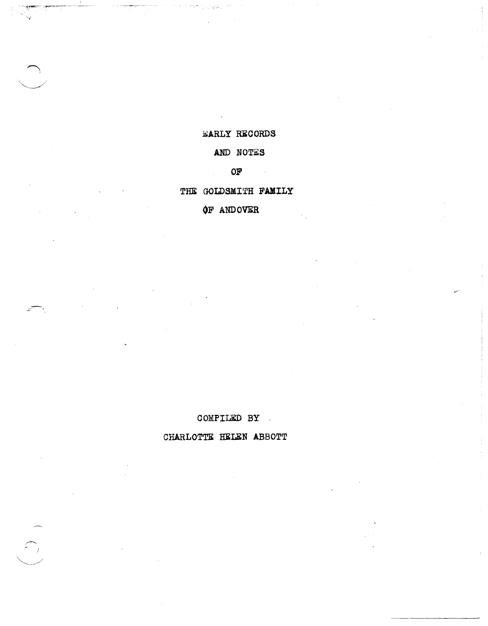### CHARLOTTE HELEN ABBOTT

# COMPILED BY .

# **OF** ANDOVER

### THE GOLDSMITH FAMILY

### OF

# AND NOTES

### EARLY RECORDS

'J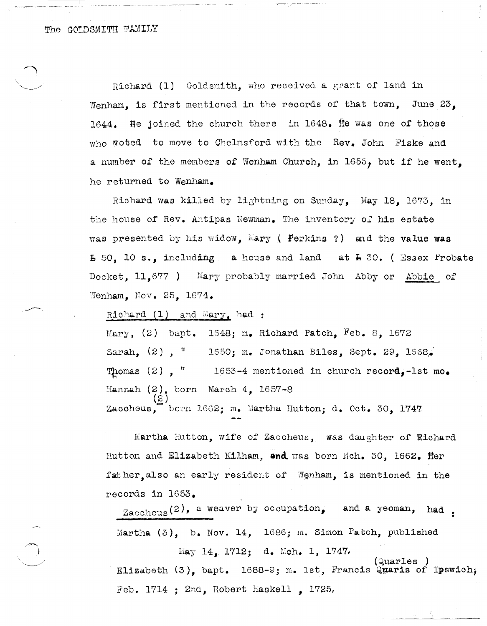The GOLDSMITH FAMILY

Richard (1) Goldsmith, who received a grant of land in Wenham, is first mentioned in the records of that town, June  $23$ , 1644. He joined the church there in  $1648$ . He was one of those who woted to move to Chelmsford with the Rev. John Fiske and a number of the members of Wenham Church, in 1655, but if he went, he returned to Wenham.

Richard was killed by lightning on Sunday, May 18, 1673, in the house of Rev. Antipas Newman. The inventory of his estate was presented by his widow, Mary ( Perkins ?) and the value was  $\overline{b}$  50. 10 s., including a house and land at  $\overline{b}$  30. ( Essex Probate Docket,  $11,677$  ) Mary probably married John Abby or Abbie of Wenham. Nov.  $25.1674.$ 

Richard  $(1)$  and Mary, had :

Mary,  $(2)$  bapt. 1648; m. Richard Patch, Feb. 8, 1672 Sarah, (2), " 1650; m. Jonathan Biles, Sept. 29, 1668. Thomas (2),  $\frac{n}{1653-4}$  mentioned in church record,-lst mo. Hannah  $(2)$ , born March  $4$ , 1657-8 (2 ) Zaccheus, born 1662; m. Martha Hutton; d. Oct. 30, 1747.

Martha Hutton, wife of Zaccheus, was daughter of Richard Hutton and Elizabeth Kilham, and was born Mch. 30, 1662. Her fat her, also an early resident of Wenham, is mentioned in the records in 1653.

Zaccheus (2), a weaver by occupation, and a yeoman, had. Martha (3), b. Nov. 14, 1686; m. Simon Patch, published

May 14, 1712; d. Mch. 1, 1747. (Quarles ) Elizabeth  $(3)$ , bapt. 1688-9; m. 1st, Francis Quaris of Ipswich; Feb. 1714 ; 2nd, Robert Haskell , 1725,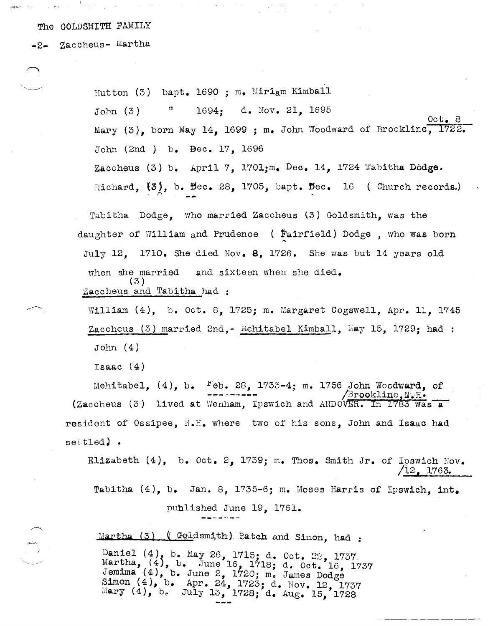The GOLDSMITH FAMILY

-2- Zaccheus- Martha

Hutton (3) bapt. 1690; m. Miriam Kimball Ħ 1694: d. Nov. 21, 1695  $John(3)$  $Oct.8$ Mary (3), born May 14, 1699; m. John Woodward of Brookline, 1722. John (2nd ) b. Bec. 17, 1696 Zaccheus (3) b. April 7, 1701; m. Dec. 14, 1724 Tabitha Dodge. Richard,  $\{3\}$ , b. Bec. 28, 1705, bapt. Bec. 16 (Church records.)

Tabitha Dodge, who married Zaccheus (3) Goldsmith, was the daughter of William and Prudence ( Fairfield) Dodge, who was born July 12. 1710. She died Nov. 8. 1726. She was but 14 years old when she married and sixteen when she died.  $(3)$ Zaccheus and Tabitha had :

William (4), b. Oct. 8, 1725; m. Margaret Cogswell, Apr. 11, 1745 Zaccheus (3) married 2nd, - Mehitabel Kimball, May 15, 1729; had :  $John(4)$ 

Isaac  $(4)$ 

Mehitabel,  $(4)$ , b.  $F$ eb. 28, 1733-4; m. 1756 John Woodward, of  $\mathbb B$ rookline, N.H. (Zaccheus (3) lived at Wenham, Ipswich and ANDOVER. In 1783 was a resident of Ossipee, N.H. where two of his sons, John and Isaac had settled).

Elizabeth (4), b. Oct. 2, 1739; m. Thos. Smith Jr. of Ipswich Nov.  $/12$ , 1763. Tabitha (4), b. Jan. 8, 1735-6; m. Moses Harris of Ipswich, int. published June 19, 1761.

Martha (3) (Goldsmith) Patch and Simon, had: Daniel (4), b. May 26, 1715; d. Oct. 22, 1737<br>Martha, (4), b. June 16, 1718; d. Oct. 16, 1737<br>Jemima (4), b. June 2, 1720; m. James Dodge Simon (4), b. Apr. 24, 1723; d. Nov. 12, 1737<br>Mary (4), b. July 13, 1728; d. Aug. 15, 1728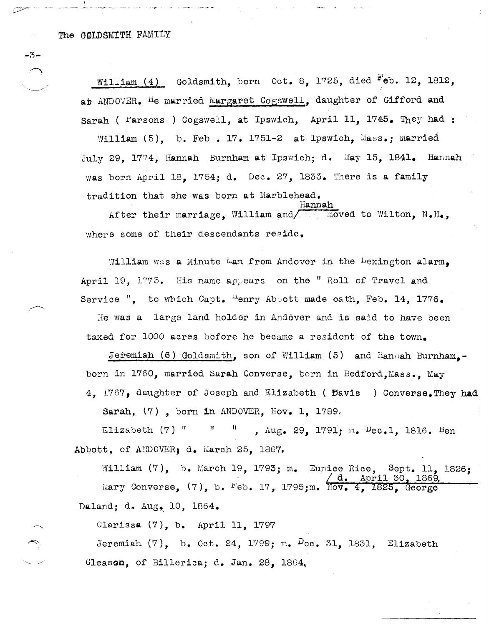$-3-$ 

 $\overline{\mathbb{C}}$  .

William  $(4)$  Goldsmith, born Oct. 8, 1725, died  $F$ eb. 12, 1812, ab ANDOVER. He married Margaret Cogswell, daughter of Gifford and Sarah (  $Farsons$  ) Cogswell, at Ipswich, April 11, 1745. They had :

William  $(5)$ , b. Feb. 17. 1751-2 at Ipswich, Mass.; married July 29. 1774. Hannah Burnham at Ipswich; d. May 15. 1841. Hannah was born April 18, 1754; d. Dec. 27, 1833. There is a family tradition that she Was born at Marblehead. Hannah

hfter their marriage, William and/\_ moved to Wilton, N.H., where some of their descendants reside.

William was a Minute  $\mathbb{N}$ an from Andover in the  $\text{Lexington alarm}_{\bullet}$ April 19. 1775. His name appears on the "Roll of Travel and Service ", to which Capt.  ${}^{11}$ enry Abbott made oath. Feb. 14, 1776.

He was a large land holder in Andover and is said to have been taxed for 1000 acres before he became a resident of the town.

Jeremiah (6) Goldsmith, son of William (5) and Hannah Burnham.born in 1760, married Sarah Converse, born in Bedford, Mass., May 4. 1767, daughter of Joseph and Elizabeth ( Bavis ) Converse. They had

Sarah,  $(7)$ , born in ANDOVER, Nov. 1, 1789,

Elizabeth  $(7)$  " "  $\ldots$ , Aug. 29, 1791; m.  $\mu$ ec.1, 1816. Ben Abbott, of ANDOVER, d. March 25, 1867,

William  $(7)$ , b. March 19, 1793; m. Eunice Rice, Sept. 11, 1826;<br>  $\sqrt{a}$ . April 30, 1869. April 30, 1869. Mary Converse,  $(7)$ , b.  $Feb. 17$ , 1795;m. Nov. 4, 1825, George Daland; d. Aug. 10, 1864.

Clarissa (7), b. April 11, 1797

Jeremiah  $(7)$ , b. Oct. 24, 1799; m.  $Dec. 31. 1831.$  Elizabeth Gleason, of Billerica; d. Jan. 28, 1864.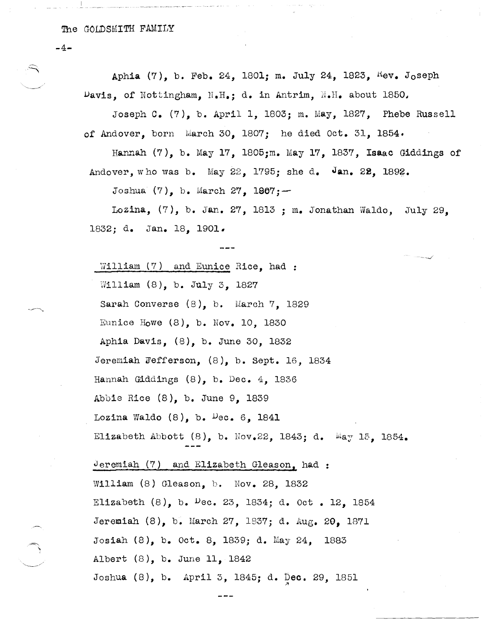$\mathcal{P}$  $-4-$ Aphia (7), b. Feb. 24, 1801; m. July 24, 1823,  $Kev$ . Joseph  $\nu$ avis, of Nottingham, N.H.; d. in Antrim, N.H. about 1850. Joseph C. (7), b. April 1,1803; m. May, 1827, Phebe Russell of Andover, born March 30, 1807; he died Oct. 31, 1854. Hannah (7), b. May 17, 1805;m. May 17, 1837, Isaac Giddings of Andover, who was b. May  $22$ , 1795; she d. Jan. 22, 1892. Joshua  $(7)$ , b. March 27, 1967; -Lozina,  $(7)$ , b. Jan. 27, 1813 ; m. Jonathan Waldo, July 29. 1832; d. Jan. 18, 1901. William (7) and Eunice Rice, had : William (8), b. July 3, 1827 Sarah Converse (8), b. March 7, 1829 Eunice Howe (8), b. Nov. 10, 1830 Aphia Davis, (8), b. June 30, 1832 Jeremiah Fefferson,  $(8)$ , b. Sept. 16, 1834 Hannah Giddings (8), b. Dec. 4, 1836 Abbie Rice (8), b. June 9, 1839 Lozina Waldo  $(8)$ , b.  $Dec. 6$ , 1841 Elizabeth Abbott  $(8)$ , b. Nov.22, 1843; d. May 15, 1854. Jeremiah  $(7)$  and Elizabeth Gleason, had : William (8) Gleason, b. Nov. 28, 1832 Elizabeth  $(8)$ , b. <sup>D</sup>ec. 23, 1834; d. Oct . 12, 1854 Jeremiah (8), b. March 27, 1837; d. Aug. 20, 1871 Josiah (8), b. Oct. 8, 1839; d. May 24, 1883 Albert (8), b. June II, 1842 Joshua (8), b. April 3, 1845; d. Dec. 29, 1851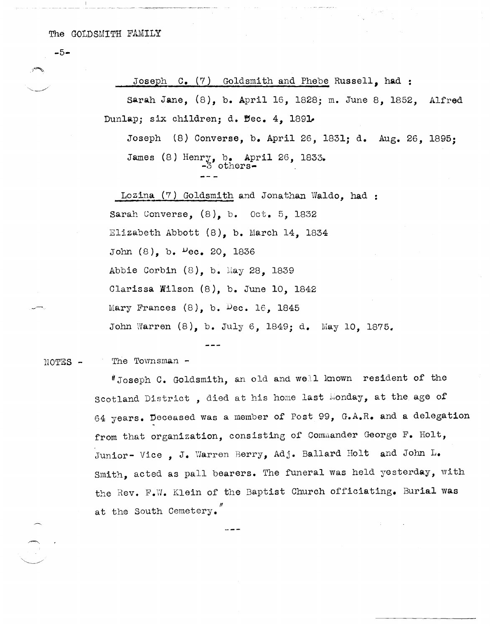-5-

Joseph  $C_{\bullet}$  (7) Goldsmith and Phebe Russell, had:

Sarah Jane, (8), b. April 16, 1828; m. June 8, 1852, Alfred Dunlap; six children; d.  $\texttt{Bec. 4, 1891}$ 

Joseph (8) Converse, b. April 26, 1831; d. Aug. 26, 1895; James (8) Henry, b. April 26, 1833. -3 others-

Lozina  $(7)$  Goldsmith and Jonathan Waldo, had : Sarah Converse, (8), b. Oct. 5, 1832 Elizabeth Abbott (8), b. March 14, 1834 John  $(8)$ , b.  $Pec. 20$ , 1836 Abbie Corbin (8), b. May 28, 1839 Clarissa Wilson (8), b. June 10, 1842 Mary Frances  $(8)$ , b. Dec. 16, 1845 John Warren (8), b. July 6, 1849; d. May 10, 1875.

NOTES - The Townsman -

> $'$ Joseph C. Goldsmith, an old and well known resident of the Scotland District, died at his home last Monday, at the age of 64 years. Deceased was a member of Post 99, G.A.R. and a delegation from that organization, consisting of Commander George F. Holt, Junior- Vice, J. Warren Berry, Adj. Ballard Holt and John L. Smith, acted as pall bearers. The funeral was held yesterday, with the Rev. F.W. Klein of the Baptist Church officiating. Burial was /I at the South Cemetery.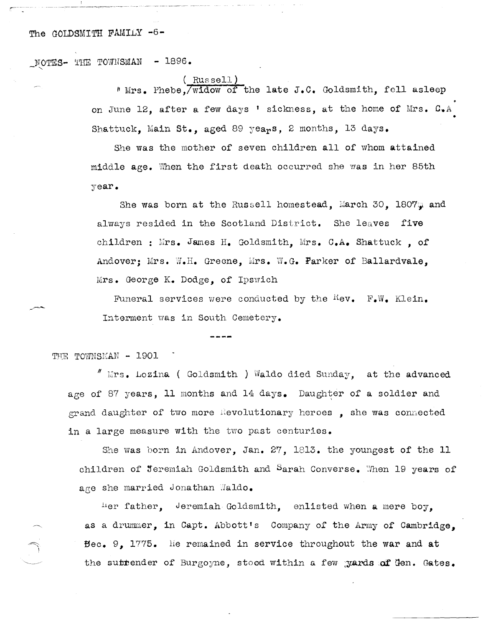#### The GOLDSMITH FAMILY -6-

 $\mu$ OTES- THE TOWNSMAN - 1896.

#### Russell)

" Mrs. Phebe, widow of the late J.C. Goldsmith, fell asleep on June 12, after a few days ' sickness, at the home of Mrs. C.A Shattuck. Main St., aged 89 years, 2 months, 13 days. •

She was the mother of seven children all of whom attained middle age. When the first death occurred she was in her 85th year.

She was born at the Russell homestead, March 30, 1807 $\mu$  and always resided in the Scotland District. She leaves five children: Mrs. James H. Goldsmith, Mrs. C.A. Shattuck, of Andover: Mrs. W.H. Greene, Mrs. W.G. Parker of Ballardvale. Mrs. George K. Dodge, of Ipsvrich

Funeral services were conducted by the Kev. F.W. Klein. Interment was in South Cemetery.

THE TOWNSMAN - 1901

 $\frac{N}{2}$  Lirs. Lozina (Goldsmith) Waldo died Sunday, at the advanced age of 87 years, 11 months and 14 days. Daughter of a soldier and grand daughter of two more flevolutionary heroes. she was connected in a large measure with the two past centuries.

She was born in Andover, Jan. 27, 1813. the youngest of the 11 children of Jeremiah Goldsmith and Sarah Converse. When 19 years of age she married Jonathan Waldo.

Her father, Jeremiah Goldsmith, enlisted when a mere boy. as a drummer, in Capt. Abbott's Company of the Army of Cambridge.  $\texttt{Bec. 9. } 1775.$  lie remained in service throughout the war and at the suitender of Burgoyne, stood within a few gards of Gen. Gates.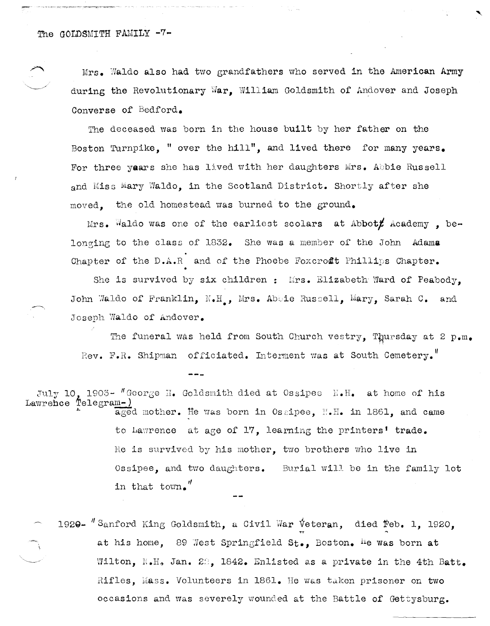Mrs. 'Naldo also had two grandfathers who served in the American Army during the Revolutionary War, William Goldsmith of Andover and Joseph Converse of Bedford.

The deceased was born in the house built by her father on the Boston Turnpike, " over the hill", and lived there for many years. For three years she has lived with her daughters Mrs. Abbie Russell and Miss Mary Waldo, in the Scotland District. Shortly after she moved, the old homestead was burned to the ground.

 $Mrs.$  Waldo was one of the earliest scolars at Abbot $f$  Academy, belonging to the class of 1832. She was a member of the John Adama Chapter of the  $D \cdot A \cdot R$  and of the Phoebe Foxcroft Phillips Chapter. •

She is survived by six children: Mrs. Elizabeth Ward of Peabody, John Waldo of Franklin, N.H., Mrs. Abbie Russell, Mary, Sarah C. and Joseph Waldo of Andover.

The funeral was held from South Church vestry, Thursday at 2 p.m. Rev. F.R. Shipman of ficiated. Interment was at South Cemetery.

July 10, 1903- "George H. Goldsmith died at Ossipee N.H. at home of his<br>Lawrebce Telegram-) aged mother. He was born in Ossipee. N.H. in 1861, and came Lawrehce Telegram-)<br> **Lawrehce Telegram-**) aged mother. He was born in Ossipee, *IT.H.* in 1861, and came to Lawrence at age of 17, learning the printers' trade. Re is survived by his mother, two brothers who live in  $\texttt{Ossipee}$ , and two daughters. Burial will be in the family lot in that town.<sup>"</sup>

1920-  $''$  Sanford King Goldsmith, a Civil War Veteran, died Feb. 1, 1920, at his home, 89 West Springfield St., Boston. He was born at Wilton, N.H. Jan. 22, 1842. Enlisted as a private in the 4th Batt. Rifles, Mass. Volunteers in 1861. He was taken prisoner on two occasions and was severely wounded at the Battle of Gettysburg.